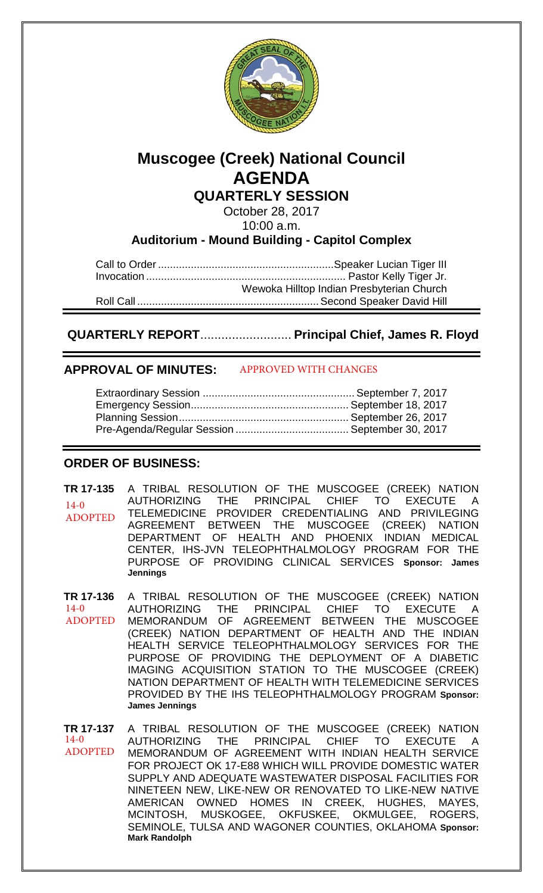

# **Muscogee (Creek) National Council AGENDA QUARTERLY SESSION**

October 28, 2017

10:00 a.m.

**Auditorium - Mound Building - Capitol Complex**

Call to Order ........................................................... Speaker Lucian Tiger III Invocation ................................................................... Pastor Kelly Tiger Jr. Wewoka Hilltop Indian Presbyterian Church Roll Call ............................................................. Second Speaker David Hill

 **QUARTERLY REPORT**.......................... **Principal Chief, James R. Floyd** 

#### **APPROVAL OF MINUTES:**  APPROVED WITH CHANGES

## **ORDER OF BUSINESS:**

**TR 17-135** A TRIBAL RESOLUTION OF THE MUSCOGEE (CREEK) NATION AUTHORIZING THE PRINCIPAL CHIEF TO EXECUTE A TELEMEDICINE PROVIDER CREDENTIALING AND PRIVILEGING AGREEMENT BETWEEN THE MUSCOGEE (CREEK) NATION DEPARTMENT OF HEALTH AND PHOENIX INDIAN MEDICAL CENTER, IHS-JVN TELEOPHTHALMOLOGY PROGRAM FOR THE PURPOSE OF PROVIDING CLINICAL SERVICES **Sponsor: James Jennings**  $14-0$ ADOPTED

**TR 17-136** A TRIBAL RESOLUTION OF THE MUSCOGEE (CREEK) NATION AUTHORIZING THE PRINCIPAL CHIEF TO EXECUTE MEMORANDUM OF AGREEMENT BETWEEN THE MUSCOGEE (CREEK) NATION DEPARTMENT OF HEALTH AND THE INDIAN HEALTH SERVICE TELEOPHTHALMOLOGY SERVICES FOR THE PURPOSE OF PROVIDING THE DEPLOYMENT OF A DIABETIC IMAGING ACQUISITION STATION TO THE MUSCOGEE (CREEK) NATION DEPARTMENT OF HEALTH WITH TELEMEDICINE SERVICES PROVIDED BY THE IHS TELEOPHTHALMOLOGY PROGRAM **Sponsor: James Jennings**  $14-0$ ADOPTED

**TR 17-137** A TRIBAL RESOLUTION OF THE MUSCOGEE (CREEK) NATION AUTHORIZING THE PRINCIPAL CHIEF TO EXECUTE A MEMORANDUM OF AGREEMENT WITH INDIAN HEALTH SERVICE FOR PROJECT OK 17-E88 WHICH WILL PROVIDE DOMESTIC WATER SUPPLY AND ADEQUATE WASTEWATER DISPOSAL FACILITIES FOR NINETEEN NEW, LIKE-NEW OR RENOVATED TO LIKE-NEW NATIVE AMERICAN OWNED HOMES IN CREEK, HUGHES, MAYES, MCINTOSH, MUSKOGEE, OKFUSKEE, OKMULGEE, ROGERS, SEMINOLE, TULSA AND WAGONER COUNTIES, OKLAHOMA **Sponsor: Mark Randolph** 14-0 ADOPTED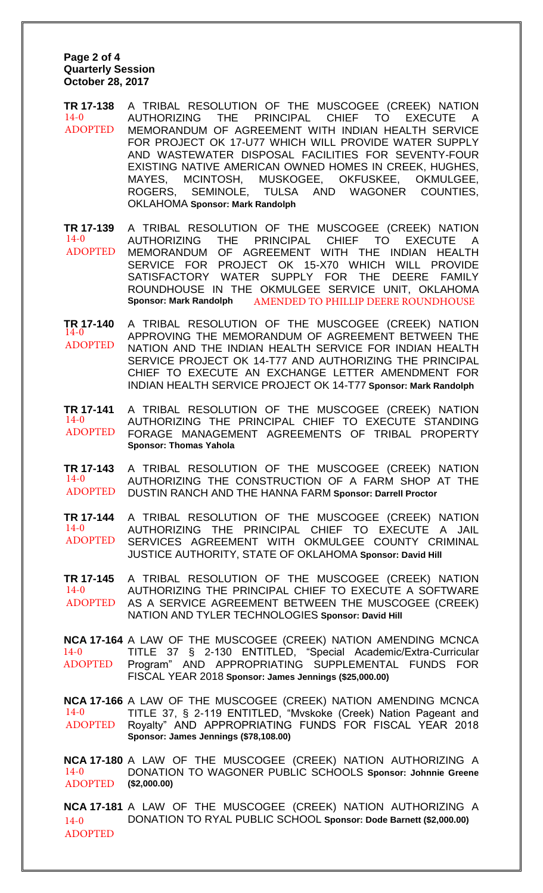#### **Page 2 of 4 Quarterly Session October 28, 2017**

**TR 17-138** A TRIBAL RESOLUTION OF THE MUSCOGEE (CREEK) NATION AUTHORIZING THE PRINCIPAL CHIEF TO EXECUTE A MEMORANDUM OF AGREEMENT WITH INDIAN HEALTH SERVICE FOR PROJECT OK 17-U77 WHICH WILL PROVIDE WATER SUPPLY AND WASTEWATER DISPOSAL FACILITIES FOR SEVENTY-FOUR EXISTING NATIVE AMERICAN OWNED HOMES IN CREEK, HUGHES, MAYES, MCINTOSH, MUSKOGEE, OKFUSKEE, OKMULGEE, ROGERS, SEMINOLE, TULSA AND WAGONER COUNTIES, OKLAHOMA **Sponsor: Mark Randolph**  $14-0$ ADOPTED

**TR 17-139** A TRIBAL RESOLUTION OF THE MUSCOGEE (CREEK) NATION AUTHORIZING THE PRINCIPAL CHIEF TO EXECUTE A MEMORANDUM OF AGREEMENT WITH THE INDIAN HEALTH SERVICE FOR PROJECT OK 15-X70 WHICH WILL PROVIDE SATISFACTORY WATER SUPPLY FOR THE DEERE FAMILY ROUNDHOUSE IN THE OKMULGEE SERVICE UNIT, OKLAHOMA **Sponsor: Mark Randolph** 14-0 ADOPTED AMENDED TO PHILLIP DEERE ROUNDHOUSE

**TR 17-140** A TRIBAL RESOLUTION OF THE MUSCOGEE (CREEK) NATION APPROVING THE MEMORANDUM OF AGREEMENT BETWEEN THE NATION AND THE INDIAN HEALTH SERVICE FOR INDIAN HEALTH SERVICE PROJECT OK 14-T77 AND AUTHORIZING THE PRINCIPAL CHIEF TO EXECUTE AN EXCHANGE LETTER AMENDMENT FOR INDIAN HEALTH SERVICE PROJECT OK 14-T77 **Sponsor: Mark Randolph** 14-0 ADOPTED

**TR 17-141** A TRIBAL RESOLUTION OF THE MUSCOGEE (CREEK) NATION AUTHORIZING THE PRINCIPAL CHIEF TO EXECUTE STANDING FORAGE MANAGEMENT AGREEMENTS OF TRIBAL PROPERTY **Sponsor: Thomas Yahola** 14-0 ADOPTED

**TR 17-143** A TRIBAL RESOLUTION OF THE MUSCOGEE (CREEK) NATION AUTHORIZING THE CONSTRUCTION OF A FARM SHOP AT THE DUSTIN RANCH AND THE HANNA FARM **Sponsor: Darrell Proctor** 14-0 ADOPTED

**TR 17-144** A TRIBAL RESOLUTION OF THE MUSCOGEE (CREEK) NATION AUTHORIZING THE PRINCIPAL CHIEF TO EXECUTE A JAIL SERVICES AGREEMENT WITH OKMULGEE COUNTY CRIMINAL JUSTICE AUTHORITY, STATE OF OKLAHOMA **Sponsor: David Hill**  $14-0$ ADOPTED

**TR 17-145** A TRIBAL RESOLUTION OF THE MUSCOGEE (CREEK) NATION AUTHORIZING THE PRINCIPAL CHIEF TO EXECUTE A SOFTWARE AS A SERVICE AGREEMENT BETWEEN THE MUSCOGEE (CREEK) NATION AND TYLER TECHNOLOGIES **Sponsor: David Hill**  $14-0$ ADOPTED

**NCA 17-164** A LAW OF THE MUSCOGEE (CREEK) NATION AMENDING MCNCA TITLE 37 § 2-130 ENTITLED, "Special Academic/Extra-Curricular Program" AND APPROPRIATING SUPPLEMENTAL FUNDS FOR FISCAL YEAR 2018 **Sponsor: James Jennings (\$25,000.00)**  $14-0$ ADOPTED

**NCA 17-166** A LAW OF THE MUSCOGEE (CREEK) NATION AMENDING MCNCA TITLE 37, § 2-119 ENTITLED, "Mvskoke (Creek) Nation Pageant and Royalty" AND APPROPRIATING FUNDS FOR FISCAL YEAR 2018 **Sponsor: James Jennings (\$78,108.00)** 14-0 ADOPTED

**NCA 17-180** A LAW OF THE MUSCOGEE (CREEK) NATION AUTHORIZING A DONATION TO WAGONER PUBLIC SCHOOLS **Sponsor: Johnnie Greene (\$2,000.00)**  $14 - 0$ ADOPTED

**NCA 17-181** A LAW OF THE MUSCOGEE (CREEK) NATION AUTHORIZING A DONATION TO RYAL PUBLIC SCHOOL **Sponsor: Dode Barnett (\$2,000.00)**  $14-0$ ADOPTED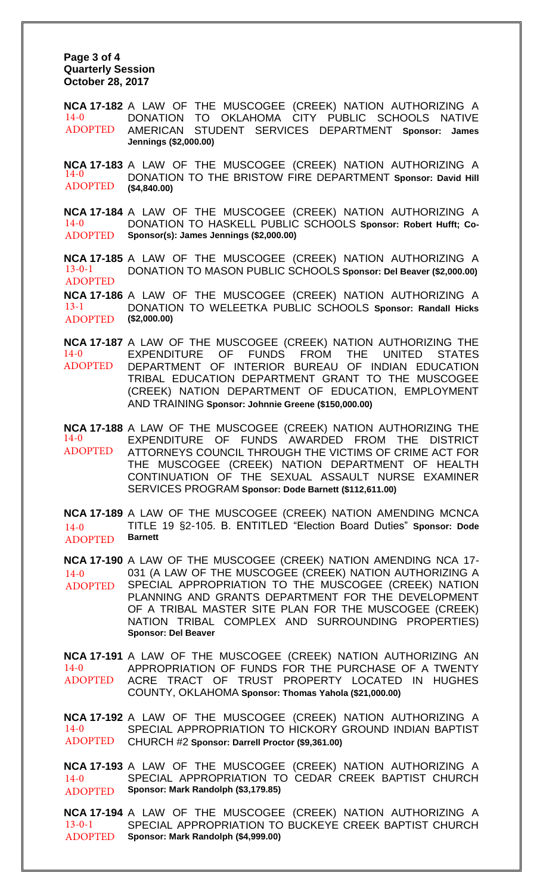**Page 3 of 4 Quarterly Session October 28, 2017** 

**NCA 17-182** A LAW OF THE MUSCOGEE (CREEK) NATION AUTHORIZING A DONATION TO OKLAHOMA CITY PUBLIC SCHOOLS NATIVE AMERICAN STUDENT SERVICES DEPARTMENT **Sponsor: James Jennings (\$2,000.00)** 14-0 ADOPTED

**NCA 17-183** A LAW OF THE MUSCOGEE (CREEK) NATION AUTHORIZING A DONATION TO THE BRISTOW FIRE DEPARTMENT **Sponsor: David Hill (\$4,840.00)** 14-0 ADOPTED

**NCA 17-184** A LAW OF THE MUSCOGEE (CREEK) NATION AUTHORIZING A DONATION TO HASKELL PUBLIC SCHOOLS **Sponsor: Robert Hufft; Co-Sponsor(s): James Jennings (\$2,000.00)**  $14-0$ ADOPTED

**NCA 17-185** A LAW OF THE MUSCOGEE (CREEK) NATION AUTHORIZING A DONATION TO MASON PUBLIC SCHOOLS **Sponsor: Del Beaver (\$2,000.00)** 13-0-1 ADOPTED

**NCA 17-186** A LAW OF THE MUSCOGEE (CREEK) NATION AUTHORIZING A DONATION TO WELEETKA PUBLIC SCHOOLS **Sponsor: Randall Hicks (\$2,000.00)** 13-1 ADOPTED

**NCA 17-187** A LAW OF THE MUSCOGEE (CREEK) NATION AUTHORIZING THE EXPENDITURE OF FUNDS FROM THE UNITED STATES DEPARTMENT OF INTERIOR BUREAU OF INDIAN EDUCATION TRIBAL EDUCATION DEPARTMENT GRANT TO THE MUSCOGEE (CREEK) NATION DEPARTMENT OF EDUCATION, EMPLOYMENT AND TRAINING **Sponsor: Johnnie Greene (\$150,000.00)**  14-0 ADOPTED

**NCA 17-188** A LAW OF THE MUSCOGEE (CREEK) NATION AUTHORIZING THE 14-0 EXPENDITURE OF FUNDS AWARDED FROM THE DISTRICT ATTORNEYS COUNCIL THROUGH THE VICTIMS OF CRIME ACT FOR THE MUSCOGEE (CREEK) NATION DEPARTMENT OF HEALTH CONTINUATION OF THE SEXUAL ASSAULT NURSE EXAMINER SERVICES PROGRAM **Sponsor: Dode Barnett (\$112,611.00)**  ADOPTED

**NCA 17-189** A LAW OF THE MUSCOGEE (CREEK) NATION AMENDING MCNCA TITLE 19 §2-105. B. ENTITLED "Election Board Duties" **Sponsor: Dode Barnett**   $14-0$ ADOPTED

**NCA 17-190** A LAW OF THE MUSCOGEE (CREEK) NATION AMENDING NCA 17- 031 (A LAW OF THE MUSCOGEE (CREEK) NATION AUTHORIZING A SPECIAL APPROPRIATION TO THE MUSCOGEE (CREEK) NATION PLANNING AND GRANTS DEPARTMENT FOR THE DEVELOPMENT OF A TRIBAL MASTER SITE PLAN FOR THE MUSCOGEE (CREEK) NATION TRIBAL COMPLEX AND SURROUNDING PROPERTIES) **Sponsor: Del Beaver** 14-0 ADOPTED

**NCA 17-191** A LAW OF THE MUSCOGEE (CREEK) NATION AUTHORIZING AN APPROPRIATION OF FUNDS FOR THE PURCHASE OF A TWENTY ACRE TRACT OF TRUST PROPERTY LOCATED IN HUGHES COUNTY, OKLAHOMA **Sponsor: Thomas Yahola (\$21,000.00)** 14-0 ADOPTED

**NCA 17-192** A LAW OF THE MUSCOGEE (CREEK) NATION AUTHORIZING A SPECIAL APPROPRIATION TO HICKORY GROUND INDIAN BAPTIST CHURCH #2 **Sponsor: Darrell Proctor (\$9,361.00)** 14-0 ADOPTED

**NCA 17-193** A LAW OF THE MUSCOGEE (CREEK) NATION AUTHORIZING A SPECIAL APPROPRIATION TO CEDAR CREEK BAPTIST CHURCH **Sponsor: Mark Randolph (\$3,179.85)** 14-0 ADOPTED

**NCA 17-194** A LAW OF THE MUSCOGEE (CREEK) NATION AUTHORIZING A SPECIAL APPROPRIATION TO BUCKEYE CREEK BAPTIST CHURCH **Sponsor: Mark Randolph (\$4,999.00)** 13-0-1 ADOPTED